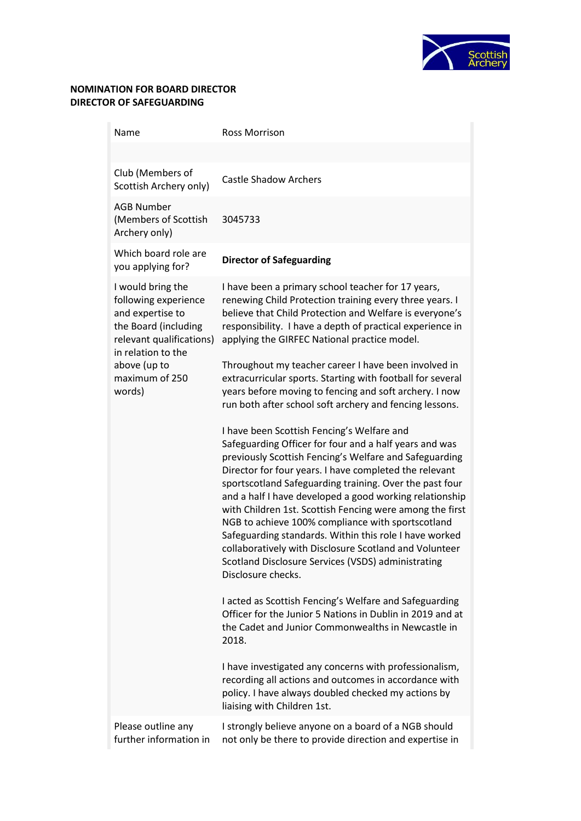

## **NOMINATION FOR BOARD DIRECTOR DIRECTOR OF SAFEGUARDING**

| Name                                                                                                                                                                                | <b>Ross Morrison</b>                                                                                                                                                                                                                                                                                                                                                                                                                                                                                                                                                                                                                                                                                                                                                                                                                                                                                                                                                                                                                                                                                                                                                                                                                                                                                                                                                                                                                                |
|-------------------------------------------------------------------------------------------------------------------------------------------------------------------------------------|-----------------------------------------------------------------------------------------------------------------------------------------------------------------------------------------------------------------------------------------------------------------------------------------------------------------------------------------------------------------------------------------------------------------------------------------------------------------------------------------------------------------------------------------------------------------------------------------------------------------------------------------------------------------------------------------------------------------------------------------------------------------------------------------------------------------------------------------------------------------------------------------------------------------------------------------------------------------------------------------------------------------------------------------------------------------------------------------------------------------------------------------------------------------------------------------------------------------------------------------------------------------------------------------------------------------------------------------------------------------------------------------------------------------------------------------------------|
|                                                                                                                                                                                     |                                                                                                                                                                                                                                                                                                                                                                                                                                                                                                                                                                                                                                                                                                                                                                                                                                                                                                                                                                                                                                                                                                                                                                                                                                                                                                                                                                                                                                                     |
| Club (Members of<br>Scottish Archery only)                                                                                                                                          | <b>Castle Shadow Archers</b>                                                                                                                                                                                                                                                                                                                                                                                                                                                                                                                                                                                                                                                                                                                                                                                                                                                                                                                                                                                                                                                                                                                                                                                                                                                                                                                                                                                                                        |
| <b>AGB Number</b><br>(Members of Scottish<br>Archery only)                                                                                                                          | 3045733                                                                                                                                                                                                                                                                                                                                                                                                                                                                                                                                                                                                                                                                                                                                                                                                                                                                                                                                                                                                                                                                                                                                                                                                                                                                                                                                                                                                                                             |
| Which board role are<br>you applying for?                                                                                                                                           | <b>Director of Safeguarding</b>                                                                                                                                                                                                                                                                                                                                                                                                                                                                                                                                                                                                                                                                                                                                                                                                                                                                                                                                                                                                                                                                                                                                                                                                                                                                                                                                                                                                                     |
| I would bring the<br>following experience<br>and expertise to<br>the Board (including<br>relevant qualifications)<br>in relation to the<br>above (up to<br>maximum of 250<br>words) | I have been a primary school teacher for 17 years,<br>renewing Child Protection training every three years. I<br>believe that Child Protection and Welfare is everyone's<br>responsibility. I have a depth of practical experience in<br>applying the GIRFEC National practice model.<br>Throughout my teacher career I have been involved in<br>extracurricular sports. Starting with football for several<br>years before moving to fencing and soft archery. I now<br>run both after school soft archery and fencing lessons.<br>I have been Scottish Fencing's Welfare and<br>Safeguarding Officer for four and a half years and was<br>previously Scottish Fencing's Welfare and Safeguarding<br>Director for four years. I have completed the relevant<br>sportscotland Safeguarding training. Over the past four<br>and a half I have developed a good working relationship<br>with Children 1st. Scottish Fencing were among the first<br>NGB to achieve 100% compliance with sportscotland<br>Safeguarding standards. Within this role I have worked<br>collaboratively with Disclosure Scotland and Volunteer<br>Scotland Disclosure Services (VSDS) administrating<br>Disclosure checks.<br>I acted as Scottish Fencing's Welfare and Safeguarding<br>Officer for the Junior 5 Nations in Dublin in 2019 and at<br>the Cadet and Junior Commonwealths in Newcastle in<br>2018.<br>I have investigated any concerns with professionalism, |
|                                                                                                                                                                                     | recording all actions and outcomes in accordance with<br>policy. I have always doubled checked my actions by<br>liaising with Children 1st.                                                                                                                                                                                                                                                                                                                                                                                                                                                                                                                                                                                                                                                                                                                                                                                                                                                                                                                                                                                                                                                                                                                                                                                                                                                                                                         |
| Please outline any<br>further information in                                                                                                                                        | I strongly believe anyone on a board of a NGB should<br>not only be there to provide direction and expertise in                                                                                                                                                                                                                                                                                                                                                                                                                                                                                                                                                                                                                                                                                                                                                                                                                                                                                                                                                                                                                                                                                                                                                                                                                                                                                                                                     |